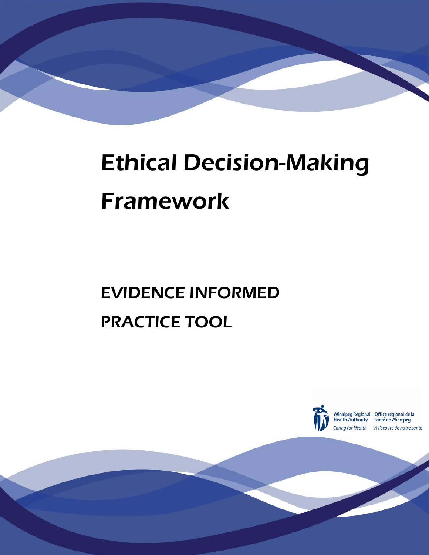

# Ethical Decision-Making Framework

# EVIDENCE INFORMED PRACTICE TOOL



© WRHA Ethics Services

Winnipeg Regional Office régional de la<br>Health Authority santé de Winnipeg Caring for Health À l'écoute de notre santé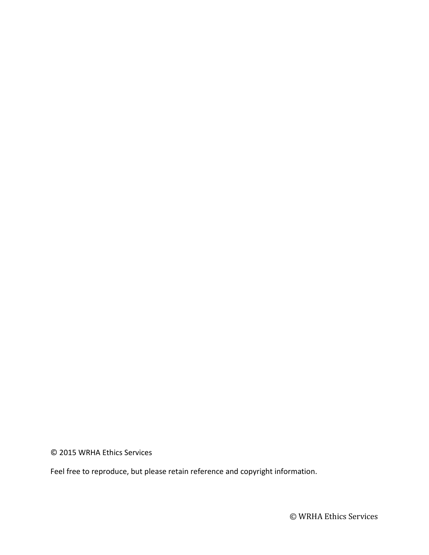© 2015 WRHA Ethics Services

Feel free to reproduce, but please retain reference and copyright information.

© WRHA Ethics Services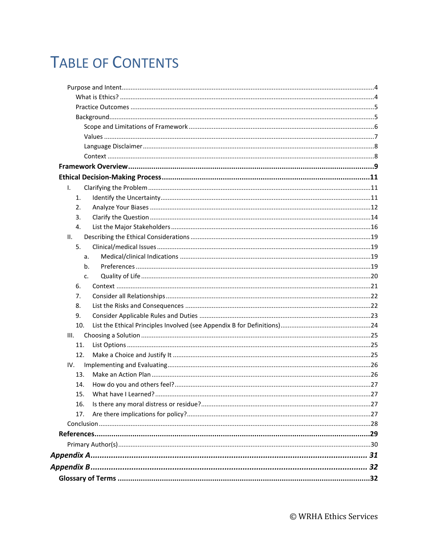# **TABLE OF CONTENTS**

| I.   |  |
|------|--|
| 1.   |  |
| 2.   |  |
| 3.   |  |
| 4.   |  |
| II.  |  |
| 5.   |  |
| a.   |  |
| b.   |  |
| c.   |  |
| 6.   |  |
| 7.   |  |
| 8.   |  |
| 9.   |  |
| 10.  |  |
| III. |  |
| 11.  |  |
| 12.  |  |
| IV.  |  |
| 13.  |  |
| 14.  |  |
| 15.  |  |
| 16.  |  |
| 17.  |  |
|      |  |
|      |  |
|      |  |
|      |  |
|      |  |
|      |  |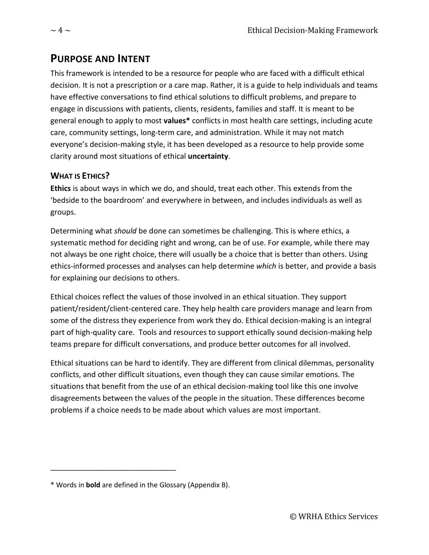### <span id="page-3-0"></span>**PURPOSE AND INTENT**

This framework is intended to be a resource for people who are faced with a difficult ethical decision. It is not a prescription or a care map. Rather, it is a guide to help individuals and teams have effective conversations to find ethical solutions to difficult problems, and prepare to engage in discussions with patients, clients, residents, families and staff. It is meant to be general enough to apply to most **values\*** conflicts in most health care settings, including acute care, community settings, long-term care, and administration. While it may not match everyone's decision-making style, it has been developed as a resource to help provide some clarity around most situations of ethical **uncertainty**.

#### <span id="page-3-1"></span>**WHAT IS ETHICS?**

**Ethics** is about ways in which we do, and should, treat each other. This extends from the 'bedside to the boardroom' and everywhere in between, and includes individuals as well as groups.

Determining what *should* be done can sometimes be challenging. This is where ethics, a systematic method for deciding right and wrong, can be of use. For example, while there may not always be one right choice, there will usually be a choice that is better than others. Using ethics-informed processes and analyses can help determine *which* is better, and provide a basis for explaining our decisions to others.

Ethical choices reflect the values of those involved in an ethical situation. They support patient/resident/client-centered care. They help health care providers manage and learn from some of the distress they experience from work they do. Ethical decision-making is an integral part of high-quality care. Tools and resources to support ethically sound decision-making help teams prepare for difficult conversations, and produce better outcomes for all involved.

Ethical situations can be hard to identify. They are different from clinical dilemmas, personality conflicts, and other difficult situations, even though they can cause similar emotions. The situations that benefit from the use of an ethical decision-making tool like this one involve disagreements between the values of the people in the situation. These differences become problems if a choice needs to be made about which values are most important.

\_\_\_\_\_\_\_\_\_\_\_\_\_\_\_\_\_\_\_\_\_\_\_\_\_\_\_\_\_\_

<sup>\*</sup> Words in **bold** are defined in the Glossary (Appendix B).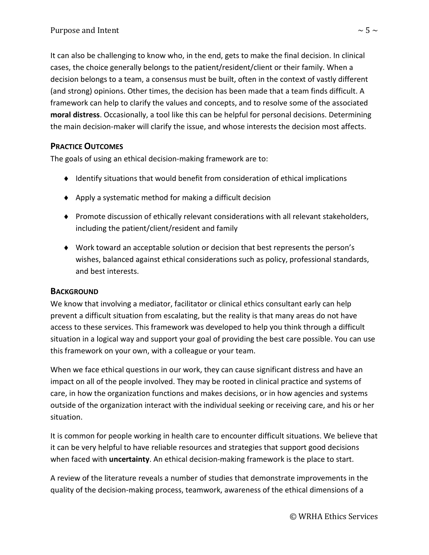It can also be challenging to know who, in the end, gets to make the final decision. In clinical cases, the choice generally belongs to the patient/resident/client or their family. When a decision belongs to a team, a consensus must be built, often in the context of vastly different (and strong) opinions. Other times, the decision has been made that a team finds difficult. A framework can help to clarify the values and concepts, and to resolve some of the associated **moral distress**. Occasionally, a tool like this can be helpful for personal decisions. Determining the main decision-maker will clarify the issue, and whose interests the decision most affects.

#### <span id="page-4-0"></span>**PRACTICE OUTCOMES**

The goals of using an ethical decision-making framework are to:

- ♦ Identify situations that would benefit from consideration of ethical implications
- ♦ Apply a systematic method for making a difficult decision
- ♦ Promote discussion of ethically relevant considerations with all relevant stakeholders, including the patient/client/resident and family
- ♦ Work toward an acceptable solution or decision that best represents the person's wishes, balanced against ethical considerations such as policy, professional standards, and best interests.

#### <span id="page-4-1"></span>**BACKGROUND**

We know that involving a mediator, facilitator or clinical ethics consultant early can help prevent a difficult situation from escalating, but the reality is that many areas do not have access to these services. This framework was developed to help you think through a difficult situation in a logical way and support your goal of providing the best care possible. You can use this framework on your own, with a colleague or your team.

When we face ethical questions in our work, they can cause significant distress and have an impact on all of the people involved. They may be rooted in clinical practice and systems of care, in how the organization functions and makes decisions, or in how agencies and systems outside of the organization interact with the individual seeking or receiving care, and his or her situation.

It is common for people working in health care to encounter difficult situations. We believe that it can be very helpful to have reliable resources and strategies that support good decisions when faced with **uncertainty**. An ethical decision-making framework is the place to start.

A review of the literature reveals a number of studies that demonstrate improvements in the quality of the decision-making process, teamwork, awareness of the ethical dimensions of a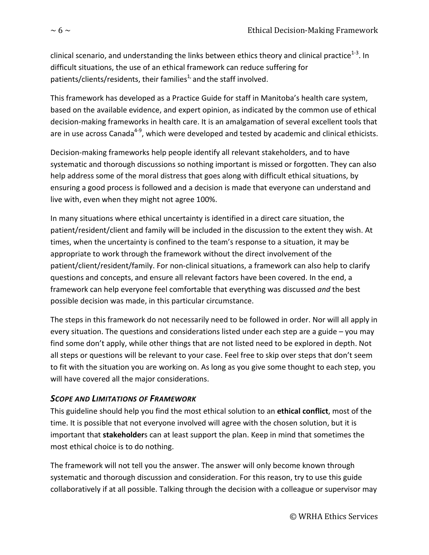clinical scenario, and understanding the links between ethics theory and clinical practice<sup>1-3</sup>. In difficult situations, the use of an ethical framework can reduce suffering for patients/clients/residents, their families<sup>1,</sup> and the staff involved.

This framework has developed as a Practice Guide for staff in Manitoba's health care system, based on the available evidence, and expert opinion, as indicated by the common use of ethical decision-making frameworks in health care. It is an amalgamation of several excellent tools that are in use across Canada<sup>4-9</sup>, which were developed and tested by academic and clinical ethicists.

Decision-making frameworks help people identify all relevant stakeholders, and to have systematic and thorough discussions so nothing important is missed or forgotten. They can also help address some of the moral distress that goes along with difficult ethical situations, by ensuring a good process is followed and a decision is made that everyone can understand and live with, even when they might not agree 100%.

In many situations where ethical uncertainty is identified in a direct care situation, the patient/resident/client and family will be included in the discussion to the extent they wish. At times, when the uncertainty is confined to the team's response to a situation, it may be appropriate to work through the framework without the direct involvement of the patient/client/resident/family. For non-clinical situations, a framework can also help to clarify questions and concepts, and ensure all relevant factors have been covered. In the end, a framework can help everyone feel comfortable that everything was discussed *and* the best possible decision was made, in this particular circumstance.

The steps in this framework do not necessarily need to be followed in order. Nor will all apply in every situation. The questions and considerations listed under each step are a guide – you may find some don't apply, while other things that are not listed need to be explored in depth. Not all steps or questions will be relevant to your case. Feel free to skip over steps that don't seem to fit with the situation you are working on. As long as you give some thought to each step, you will have covered all the major considerations.

#### <span id="page-5-0"></span>*SCOPE AND LIMITATIONS OF FRAMEWORK*

This guideline should help you find the most ethical solution to an **ethical conflict**, most of the time. It is possible that not everyone involved will agree with the chosen solution, but it is important that **stakeholder**s can at least support the plan. Keep in mind that sometimes the most ethical choice is to do nothing.

The framework will not tell you the answer. The answer will only become known through systematic and thorough discussion and consideration. For this reason, try to use this guide collaboratively if at all possible. Talking through the decision with a colleague or supervisor may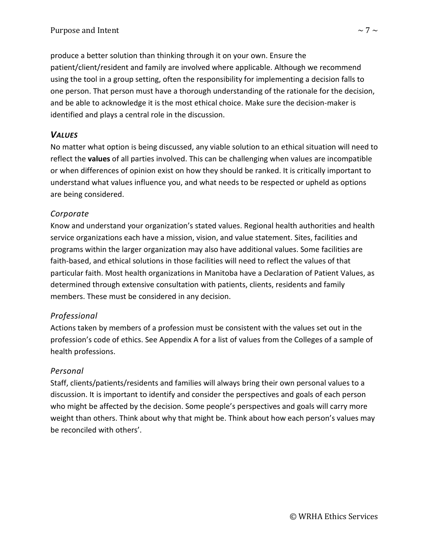produce a better solution than thinking through it on your own. Ensure the patient/client/resident and family are involved where applicable. Although we recommend using the tool in a group setting, often the responsibility for implementing a decision falls to one person. That person must have a thorough understanding of the rationale for the decision, and be able to acknowledge it is the most ethical choice. Make sure the decision-maker is identified and plays a central role in the discussion.

#### <span id="page-6-0"></span>*VALUES*

No matter what option is being discussed, any viable solution to an ethical situation will need to reflect the **values** of all parties involved. This can be challenging when values are incompatible or when differences of opinion exist on how they should be ranked. It is critically important to understand what values influence you, and what needs to be respected or upheld as options are being considered.

#### *Corporate*

Know and understand your organization's stated values. Regional health authorities and health service organizations each have a mission, vision, and value statement. Sites, facilities and programs within the larger organization may also have additional values. Some facilities are faith-based, and ethical solutions in those facilities will need to reflect the values of that particular faith. Most health organizations in Manitoba have a Declaration of Patient Values, as determined through extensive consultation with patients, clients, residents and family members. These must be considered in any decision.

#### *Professional*

Actions taken by members of a profession must be consistent with the values set out in the profession's code of ethics. See Appendix A for a list of values from the Colleges of a sample of health professions.

#### *Personal*

Staff, clients/patients/residents and families will always bring their own personal values to a discussion. It is important to identify and consider the perspectives and goals of each person who might be affected by the decision. Some people's perspectives and goals will carry more weight than others. Think about why that might be. Think about how each person's values may be reconciled with others'.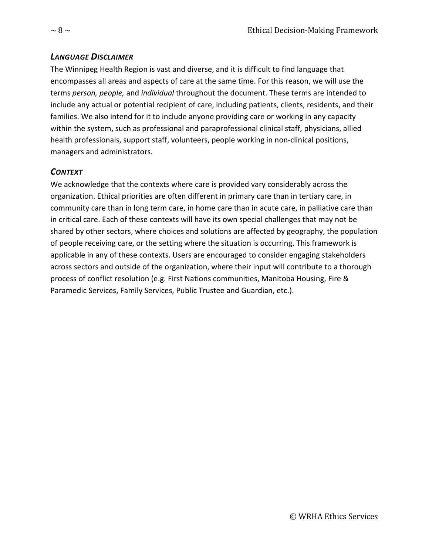#### <span id="page-7-0"></span>*LANGUAGE DISCLAIMER*

The Winnipeg Health Region is vast and diverse, and it is difficult to find language that encompasses all areas and aspects of care at the same time. For this reason, we will use the terms *person, people,* and *individual* throughout the document. These terms are intended to include any actual or potential recipient of care, including patients, clients, residents, and their families. We also intend for it to include anyone providing care or working in any capacity within the system, such as professional and paraprofessional clinical staff, physicians, allied health professionals, support staff, volunteers, people working in non-clinical positions, managers and administrators.

#### <span id="page-7-1"></span>*CONTEXT*

We acknowledge that the contexts where care is provided vary considerably across the organization. Ethical priorities are often different in primary care than in tertiary care, in community care than in long term care, in home care than in acute care, in palliative care than in critical care. Each of these contexts will have its own special challenges that may not be shared by other sectors, where choices and solutions are affected by geography, the population of people receiving care, or the setting where the situation is occurring. This framework is applicable in any of these contexts. Users are encouraged to consider engaging stakeholders across sectors and outside of the organization, where their input will contribute to a thorough process of conflict resolution (e.g. First Nations communities, Manitoba Housing, Fire & Paramedic Services, Family Services, Public Trustee and Guardian, etc.).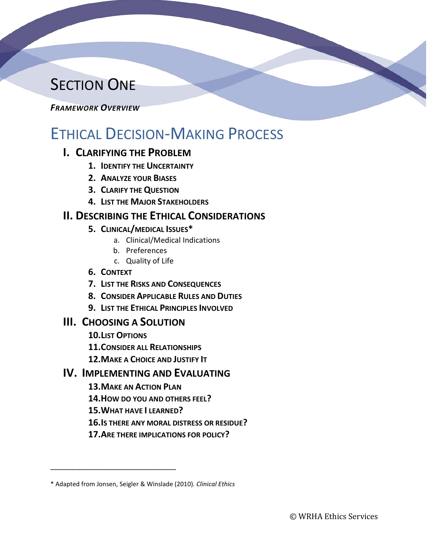# **SECTION ONE**

#### <span id="page-8-0"></span>*FRAMEWORK OVERVIEW*

# ETHICAL DECISION-MAKING PROCESS

#### **I. CLARIFYING THE PROBLEM**

- **1. IDENTIFY THE UNCERTAINTY**
- **2. ANALYZE YOUR BIASES**
- **3. CLARIFY THE QUESTION**
- **4. LIST THE MAJOR STAKEHOLDERS**

### **II. DESCRIBING THE ETHICAL CONSIDERATIONS**

- **5. CLINICAL/MEDICAL ISSUES\***
	- a. Clinical/Medical Indications
	- b. Preferences
	- c. Quality of Life
- **6. CONTEXT**
- **7. LIST THE RISKS AND CONSEQUENCES**
- **8. CONSIDER APPLICABLE RULES AND DUTIES**
- **9. LIST THE ETHICAL PRINCIPLES INVOLVED**

#### **III. CHOOSING A SOLUTION**

**10.LIST OPTIONS**

\_\_\_\_\_\_\_\_\_\_\_\_\_\_\_\_\_\_\_\_\_\_\_\_\_\_\_\_\_\_

- **11.CONSIDER ALL RELATIONSHIPS**
- **12.MAKE A CHOICE AND JUSTIFY IT**

#### **IV. IMPLEMENTING AND EVALUATING**

- **13.MAKE AN ACTION PLAN**
- **14.HOW DO YOU AND OTHERS FEEL?**
- **15.WHAT HAVE I LEARNED?**
- **16.IS THERE ANY MORAL DISTRESS OR RESIDUE?**
- **17.ARE THERE IMPLICATIONS FOR POLICY?**

<sup>\*</sup> Adapted from Jonsen, Seigler & Winslade (2010). *Clinical Ethics*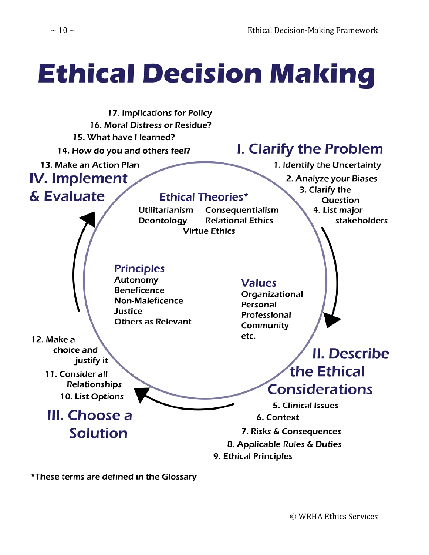# **Ethical Decision Making**



\*These terms are defined in the Glossary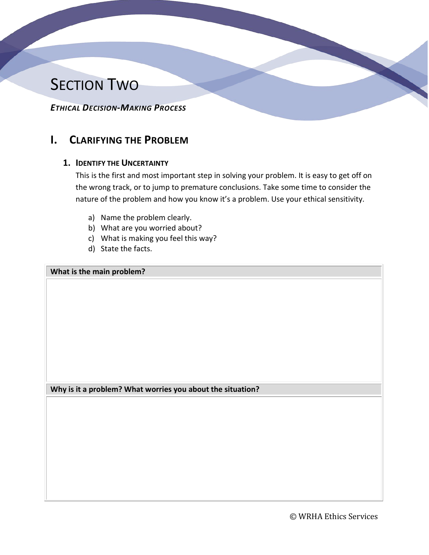# **SECTION TWO**

<span id="page-10-0"></span>*ETHICAL DECISION-MAKING PROCESS*

### <span id="page-10-2"></span><span id="page-10-1"></span>**I. CLARIFYING THE PROBLEM**

#### **1. IDENTIFY THE UNCERTAINTY**

This is the first and most important step in solving your problem. It is easy to get off on the wrong track, or to jump to premature conclusions. Take some time to consider the nature of the problem and how you know it's a problem. Use your ethical sensitivity.

- a) Name the problem clearly.
- b) What are you worried about?
- c) What is making you feel this way?
- d) State the facts.

**What is the main problem?**

**Why is it a problem? What worries you about the situation?**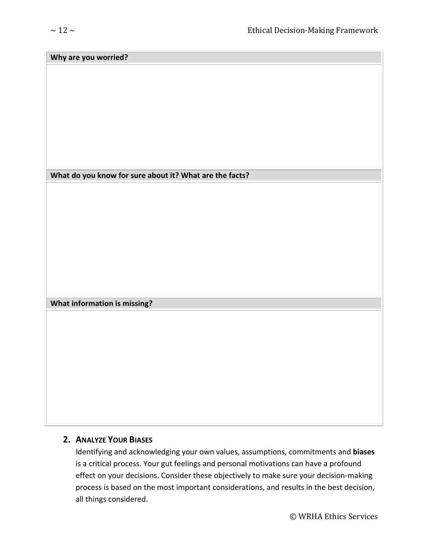#### **Why are you worried?**

#### **What do you know for sure about it? What are the facts?**

**What information is missing?**

#### <span id="page-11-0"></span>**2. ANALYZE YOUR BIASES**

Identifying and acknowledging your own values, assumptions, commitments and **biases** is a critical process. Your gut feelings and personal motivations can have a profound effect on your decisions. Consider these objectively to make sure your decision-making process is based on the most important considerations, and results in the best decision, all things considered.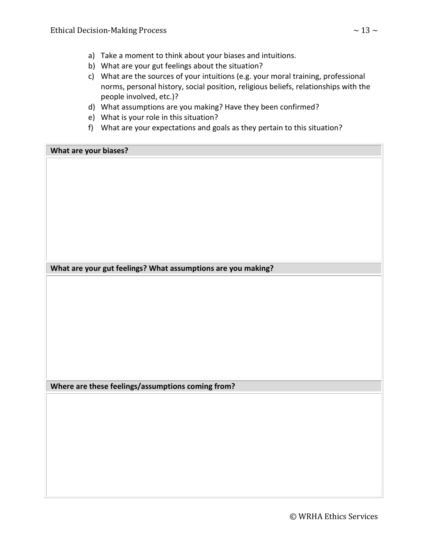- a) Take a moment to think about your biases and intuitions.
- b) What are your gut feelings about the situation?
- c) What are the sources of your intuitions (e.g. your moral training, professional norms, personal history, social position, religious beliefs, relationships with the people involved, etc.)?
- d) What assumptions are you making? Have they been confirmed?
- e) What is your role in this situation?
- f) What are your expectations and goals as they pertain to this situation?

**What are your biases?**

**What are your gut feelings? What assumptions are you making?**

**Where are these feelings/assumptions coming from?**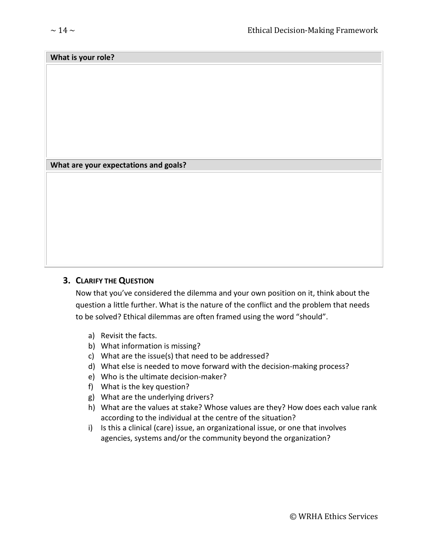#### **What is your role?**

#### **What are your expectations and goals?**

#### <span id="page-13-0"></span>**3. CLARIFY THE QUESTION**

Now that you've considered the dilemma and your own position on it, think about the question a little further. What is the nature of the conflict and the problem that needs to be solved? Ethical dilemmas are often framed using the word "should".

- a) Revisit the facts.
- b) What information is missing?
- c) What are the issue(s) that need to be addressed?
- d) What else is needed to move forward with the decision-making process?
- e) Who is the ultimate decision-maker?
- f) What is the key question?
- g) What are the underlying drivers?
- h) What are the values at stake? Whose values are they? How does each value rank according to the individual at the centre of the situation?
- i) Is this a clinical (care) issue, an organizational issue, or one that involves agencies, systems and/or the community beyond the organization?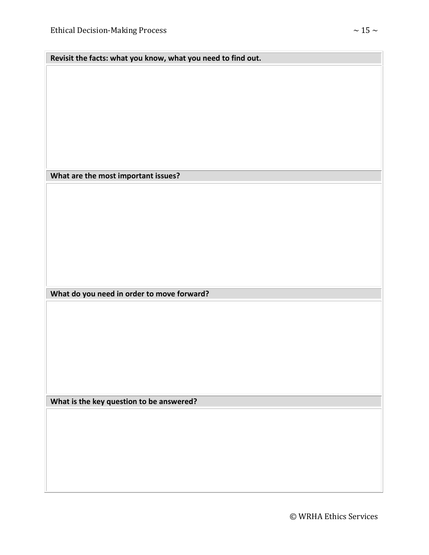**Revisit the facts: what you know, what you need to find out.**

**What are the most important issues?**

**What do you need in order to move forward?**

**What is the key question to be answered?**

© WRHA Ethics Services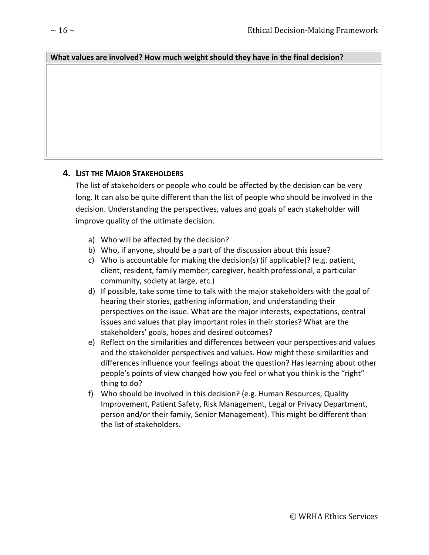#### **What values are involved? How much weight should they have in the final decision?**

#### <span id="page-15-0"></span>**4. LIST THE MAJOR STAKEHOLDERS**

The list of stakeholders or people who could be affected by the decision can be very long. It can also be quite different than the list of people who should be involved in the decision. Understanding the perspectives, values and goals of each stakeholder will improve quality of the ultimate decision.

- a) Who will be affected by the decision?
- b) Who, if anyone, should be a part of the discussion about this issue?
- c) Who is accountable for making the decision(s) (if applicable)? (e.g. patient, client, resident, family member, caregiver, health professional, a particular community, society at large, etc.)
- d) If possible, take some time to talk with the major stakeholders with the goal of hearing their stories, gathering information, and understanding their perspectives on the issue. What are the major interests, expectations, central issues and values that play important roles in their stories? What are the stakeholders' goals, hopes and desired outcomes?
- e) Reflect on the similarities and differences between your perspectives and values and the stakeholder perspectives and values. How might these similarities and differences influence your feelings about the question? Has learning about other people's points of view changed how you feel or what you think is the "right" thing to do?
- f) Who should be involved in this decision? (e.g. Human Resources, Quality Improvement, Patient Safety, Risk Management, Legal or Privacy Department, person and/or their family, Senior Management). This might be different than the list of stakeholders.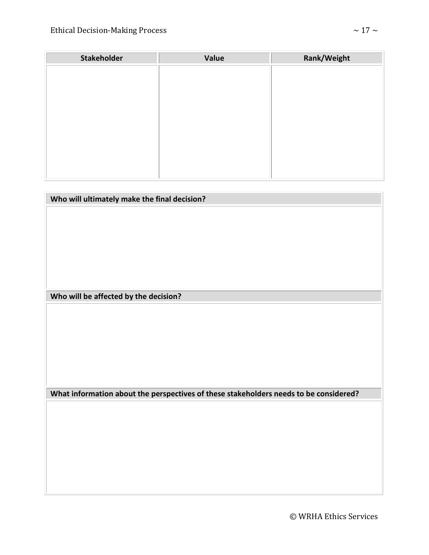| <b>Stakeholder</b> | Value | Rank/Weight |
|--------------------|-------|-------------|
|                    |       |             |
|                    |       |             |
|                    |       |             |
|                    |       |             |
|                    |       |             |
|                    |       |             |
|                    |       |             |
|                    |       |             |
|                    |       |             |
|                    |       |             |

| Who will ultimately make the final decision?                                          |
|---------------------------------------------------------------------------------------|
|                                                                                       |
|                                                                                       |
|                                                                                       |
|                                                                                       |
|                                                                                       |
|                                                                                       |
|                                                                                       |
|                                                                                       |
|                                                                                       |
| Who will be affected by the decision?                                                 |
|                                                                                       |
|                                                                                       |
|                                                                                       |
|                                                                                       |
|                                                                                       |
|                                                                                       |
|                                                                                       |
|                                                                                       |
|                                                                                       |
| What information about the perspectives of these stakeholders needs to be considered? |
|                                                                                       |
|                                                                                       |
|                                                                                       |
|                                                                                       |
|                                                                                       |
|                                                                                       |
|                                                                                       |
|                                                                                       |

© WRHA Ethics Services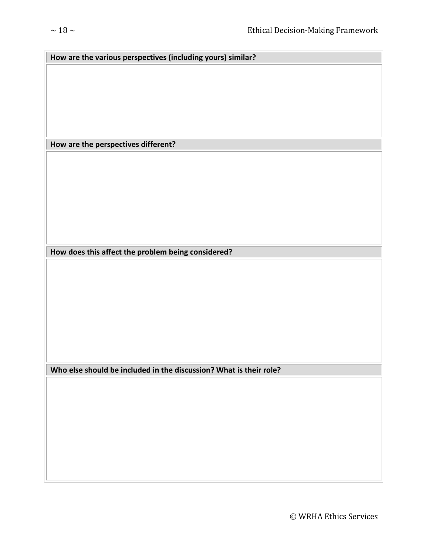| How are the various perspectives (including yours) similar? |
|-------------------------------------------------------------|
|                                                             |
|                                                             |
|                                                             |
|                                                             |
|                                                             |
|                                                             |
|                                                             |
|                                                             |
| How are the perspectives different?                         |
|                                                             |
|                                                             |
|                                                             |
|                                                             |
|                                                             |
|                                                             |
|                                                             |

**How does this affect the problem being considered?**

**Who else should be included in the discussion? What is their role?**

© WRHA Ethics Services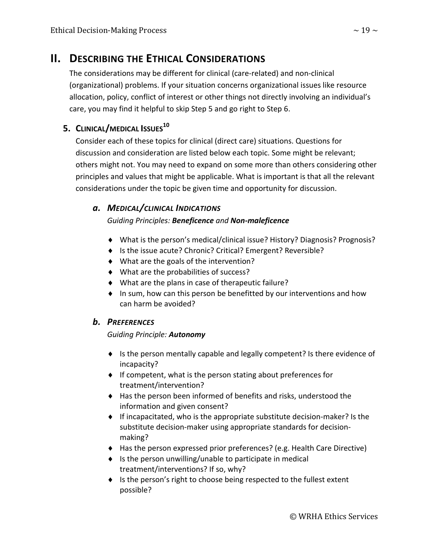### <span id="page-18-0"></span>**II. DESCRIBING THE ETHICAL CONSIDERATIONS**

The considerations may be different for clinical (care-related) and non-clinical (organizational) problems. If your situation concerns organizational issues like resource allocation, policy, conflict of interest or other things not directly involving an individual's care, you may find it helpful to skip Step 5 and go right to Step 6.

#### <span id="page-18-1"></span>**5. CLINICAL/MEDICAL ISSUES10**

Consider each of these topics for clinical (direct care) situations. Questions for discussion and consideration are listed below each topic. Some might be relevant; others might not. You may need to expand on some more than others considering other principles and values that might be applicable. What is important is that all the relevant considerations under the topic be given time and opportunity for discussion.

#### <span id="page-18-2"></span>*a. MEDICAL/CLINICAL INDICATIONS*

#### *Guiding Principles: Beneficence and Non-maleficence*

- ♦ What is the person's medical/clinical issue? History? Diagnosis? Prognosis?
- ♦ Is the issue acute? Chronic? Critical? Emergent? Reversible?
- ♦ What are the goals of the intervention?
- ♦ What are the probabilities of success?
- ♦ What are the plans in case of therapeutic failure?
- ♦ In sum, how can this person be benefitted by our interventions and how can harm be avoided?

#### <span id="page-18-3"></span>*b. PREFERENCES*

#### *Guiding Principle: Autonomy*

- ♦ Is the person mentally capable and legally competent? Is there evidence of incapacity?
- ♦ If competent, what is the person stating about preferences for treatment/intervention?
- ♦ Has the person been informed of benefits and risks, understood the information and given consent?
- ♦ If incapacitated, who is the appropriate substitute decision-maker? Is the substitute decision-maker using appropriate standards for decisionmaking?
- ♦ Has the person expressed prior preferences? (e.g. Health Care Directive)
- ♦ Is the person unwilling/unable to participate in medical treatment/interventions? If so, why?
- ♦ Is the person's right to choose being respected to the fullest extent possible?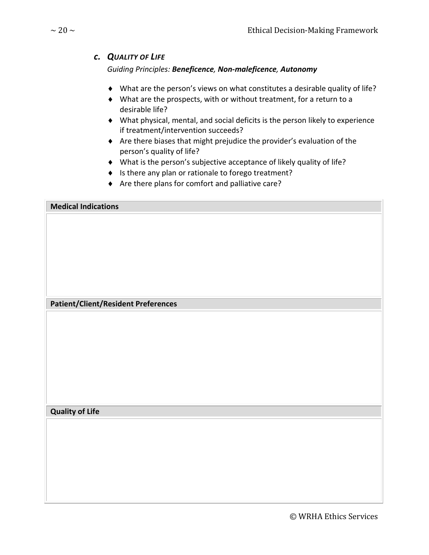#### <span id="page-19-0"></span>*c. QUALITY OF LIFE*

#### *Guiding Principles: Beneficence, Non-maleficence, Autonomy*

- ♦ What are the person's views on what constitutes a desirable quality of life?
- ♦ What are the prospects, with or without treatment, for a return to a desirable life?
- ♦ What physical, mental, and social deficits is the person likely to experience if treatment/intervention succeeds?
- ♦ Are there biases that might prejudice the provider's evaluation of the person's quality of life?
- ♦ What is the person's subjective acceptance of likely quality of life?
- ♦ Is there any plan or rationale to forego treatment?
- ♦ Are there plans for comfort and palliative care?

#### **Medical Indications**

#### **Patient/Client/Resident Preferences**

#### **Quality of Life**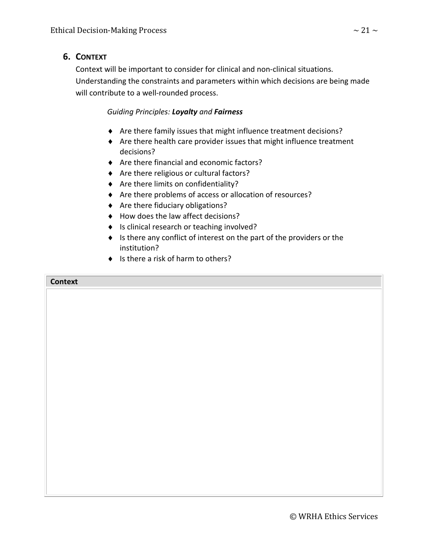#### <span id="page-20-0"></span>**6. CONTEXT**

Context will be important to consider for clinical and non-clinical situations. Understanding the constraints and parameters within which decisions are being made will contribute to a well-rounded process.

#### *Guiding Principles: Loyalty and Fairness*

- ♦ Are there family issues that might influence treatment decisions?
- ♦ Are there health care provider issues that might influence treatment decisions?
- ♦ Are there financial and economic factors?
- ♦ Are there religious or cultural factors?
- ♦ Are there limits on confidentiality?
- ♦ Are there problems of access or allocation of resources?
- ♦ Are there fiduciary obligations?
- ♦ How does the law affect decisions?
- ♦ Is clinical research or teaching involved?
- ♦ Is there any conflict of interest on the part of the providers or the institution?
- ♦ Is there a risk of harm to others?

#### **Context**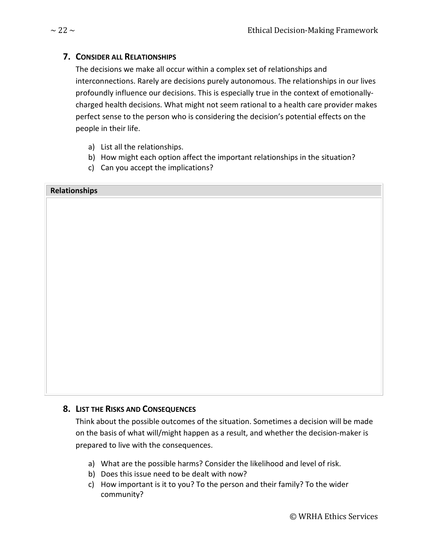#### <span id="page-21-0"></span>**7. CONSIDER ALL RELATIONSHIPS**

The decisions we make all occur within a complex set of relationships and interconnections. Rarely are decisions purely autonomous. The relationships in our lives profoundly influence our decisions. This is especially true in the context of emotionallycharged health decisions. What might not seem rational to a health care provider makes perfect sense to the person who is considering the decision's potential effects on the people in their life.

- a) List all the relationships.
- b) How might each option affect the important relationships in the situation?
- c) Can you accept the implications?

#### **Relationships**

#### <span id="page-21-1"></span>**8. LIST THE RISKS AND CONSEQUENCES**

Think about the possible outcomes of the situation. Sometimes a decision will be made on the basis of what will/might happen as a result, and whether the decision-maker is prepared to live with the consequences.

- a) What are the possible harms? Consider the likelihood and level of risk.
- b) Does this issue need to be dealt with now?
- c) How important is it to you? To the person and their family? To the wider community?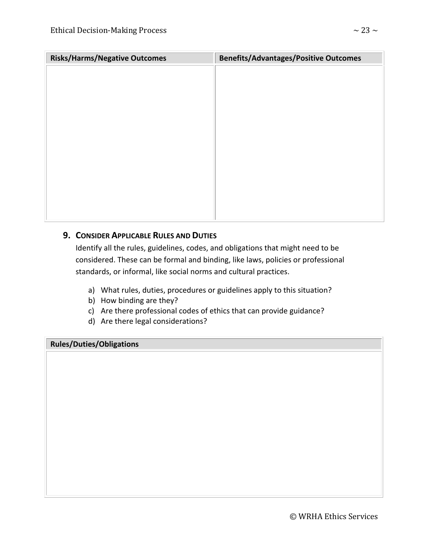| <b>Risks/Harms/Negative Outcomes</b> | <b>Benefits/Advantages/Positive Outcomes</b> |
|--------------------------------------|----------------------------------------------|
|                                      |                                              |
|                                      |                                              |
|                                      |                                              |
|                                      |                                              |
|                                      |                                              |
|                                      |                                              |
|                                      |                                              |
|                                      |                                              |
|                                      |                                              |
|                                      |                                              |
|                                      |                                              |
|                                      |                                              |

#### <span id="page-22-0"></span>**9. CONSIDER APPLICABLE RULES AND DUTIES**

Identify all the rules, guidelines, codes, and obligations that might need to be considered. These can be formal and binding, like laws, policies or professional standards, or informal, like social norms and cultural practices.

- a) What rules, duties, procedures or guidelines apply to this situation?
- b) How binding are they?
- c) Are there professional codes of ethics that can provide guidance?
- d) Are there legal considerations?

#### **Rules/Duties/Obligations**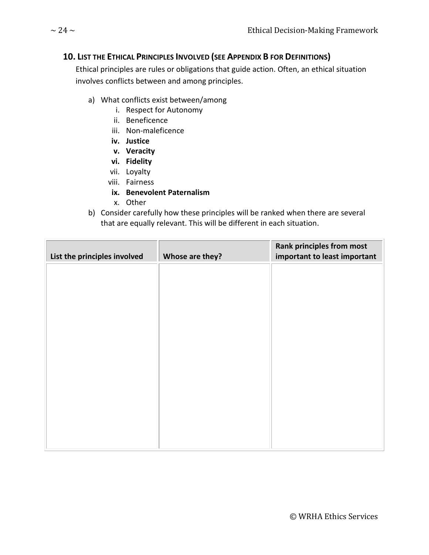#### <span id="page-23-0"></span>**10. LIST THE ETHICAL PRINCIPLES INVOLVED (SEE APPENDIX B FOR DEFINITIONS)**

Ethical principles are rules or obligations that guide action. Often, an ethical situation involves conflicts between and among principles.

- a) What conflicts exist between/among
	- i. Respect for Autonomy
	- ii. Beneficence
	- iii. Non-maleficence
	- **iv. Justice**
	- **v. Veracity**
	- **vi. Fidelity**
	- vii. Loyalty
	- viii. Fairness
	- **ix. Benevolent Paternalism**
	- x. Other
- b) Consider carefully how these principles will be ranked when there are several that are equally relevant. This will be different in each situation.

| List the principles involved | Whose are they? | <b>Rank principles from most</b><br>important to least important |
|------------------------------|-----------------|------------------------------------------------------------------|
|                              |                 |                                                                  |
|                              |                 |                                                                  |
|                              |                 |                                                                  |
|                              |                 |                                                                  |
|                              |                 |                                                                  |
|                              |                 |                                                                  |
|                              |                 |                                                                  |
|                              |                 |                                                                  |
|                              |                 |                                                                  |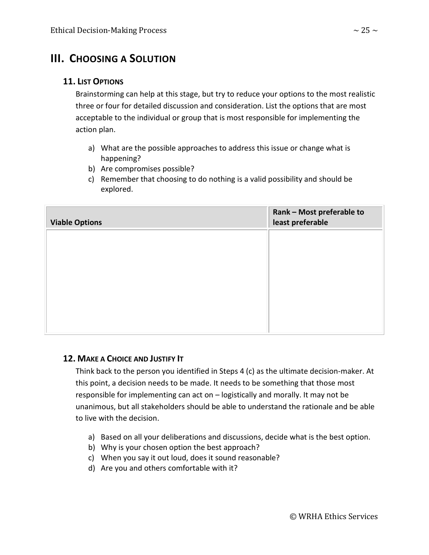### <span id="page-24-0"></span>**III. CHOOSING A SOLUTION**

#### <span id="page-24-1"></span>**11. LIST OPTIONS**

Brainstorming can help at this stage, but try to reduce your options to the most realistic three or four for detailed discussion and consideration. List the options that are most acceptable to the individual or group that is most responsible for implementing the action plan.

- a) What are the possible approaches to address this issue or change what is happening?
- b) Are compromises possible?
- c) Remember that choosing to do nothing is a valid possibility and should be explored.

| <b>Viable Options</b> | Rank - Most preferable to<br>least preferable |
|-----------------------|-----------------------------------------------|
|                       |                                               |
|                       |                                               |
|                       |                                               |
|                       |                                               |
|                       |                                               |

#### <span id="page-24-2"></span>**12. MAKE A CHOICE AND JUSTIFY IT**

Think back to the person you identified in Steps 4 (c) as the ultimate decision-maker. At this point, a decision needs to be made. It needs to be something that those most responsible for implementing can act on – logistically and morally. It may not be unanimous, but all stakeholders should be able to understand the rationale and be able to live with the decision.

- a) Based on all your deliberations and discussions, decide what is the best option.
- b) Why is your chosen option the best approach?
- c) When you say it out loud, does it sound reasonable?
- d) Are you and others comfortable with it?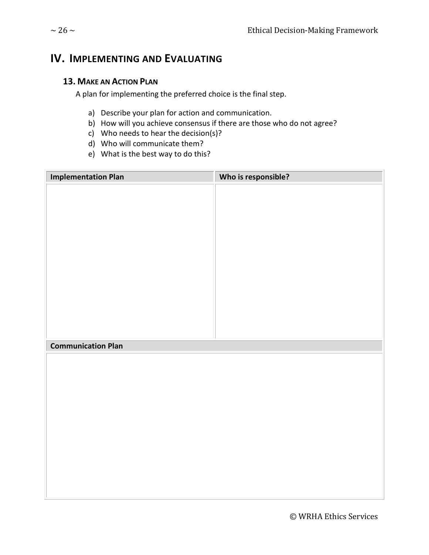### <span id="page-25-0"></span>**IV. IMPLEMENTING AND EVALUATING**

#### <span id="page-25-1"></span>**13. MAKE AN ACTION PLAN**

A plan for implementing the preferred choice is the final step.

- a) Describe your plan for action and communication.
- b) How will you achieve consensus if there are those who do not agree?
- c) Who needs to hear the decision(s)?
- d) Who will communicate them?
- e) What is the best way to do this?

| <b>Implementation Plan</b> | Who is responsible? |
|----------------------------|---------------------|
|                            |                     |
|                            |                     |
|                            |                     |
|                            |                     |
|                            |                     |
|                            |                     |
|                            |                     |
|                            |                     |
|                            |                     |
|                            |                     |
|                            |                     |
|                            |                     |
| <b>Communication Plan</b>  |                     |
|                            |                     |
|                            |                     |
|                            |                     |
|                            |                     |
|                            |                     |
|                            |                     |
|                            |                     |
|                            |                     |
|                            |                     |
|                            |                     |
|                            |                     |
|                            |                     |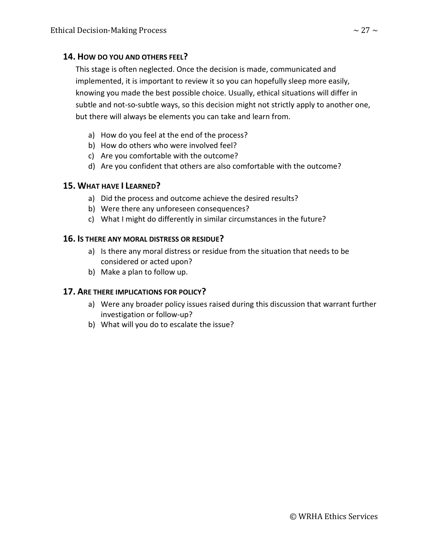#### <span id="page-26-0"></span>**14. HOW DO YOU AND OTHERS FEEL?**

This stage is often neglected. Once the decision is made, communicated and implemented, it is important to review it so you can hopefully sleep more easily, knowing you made the best possible choice. Usually, ethical situations will differ in subtle and not-so-subtle ways, so this decision might not strictly apply to another one, but there will always be elements you can take and learn from.

- a) How do you feel at the end of the process?
- b) How do others who were involved feel?
- c) Are you comfortable with the outcome?
- d) Are you confident that others are also comfortable with the outcome?

#### <span id="page-26-1"></span>**15. WHAT HAVE I LEARNED?**

- a) Did the process and outcome achieve the desired results?
- b) Were there any unforeseen consequences?
- c) What I might do differently in similar circumstances in the future?

#### <span id="page-26-2"></span>**16. IS THERE ANY MORAL DISTRESS OR RESIDUE?**

- a) Is there any moral distress or residue from the situation that needs to be considered or acted upon?
- b) Make a plan to follow up.

#### <span id="page-26-3"></span>**17. ARE THERE IMPLICATIONS FOR POLICY?**

- a) Were any broader policy issues raised during this discussion that warrant further investigation or follow-up?
- b) What will you do to escalate the issue?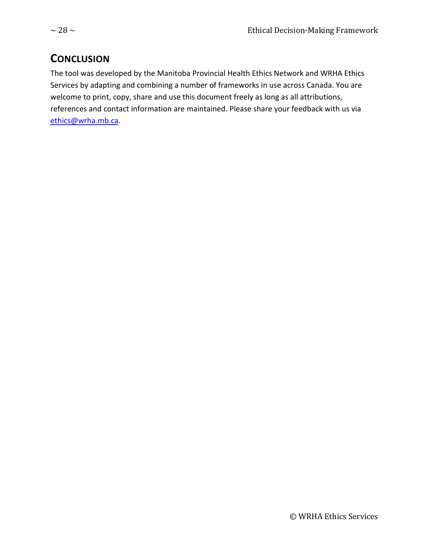### <span id="page-27-0"></span>**CONCLUSION**

The tool was developed by the Manitoba Provincial Health Ethics Network and WRHA Ethics Services by adapting and combining a number of frameworks in use across Canada. You are welcome to print, copy, share and use this document freely as long as all attributions, references and contact information are maintained. Please share your feedback with us via [ethics@wrha.mb.ca.](mailto:ethics@wrha.mb.ca)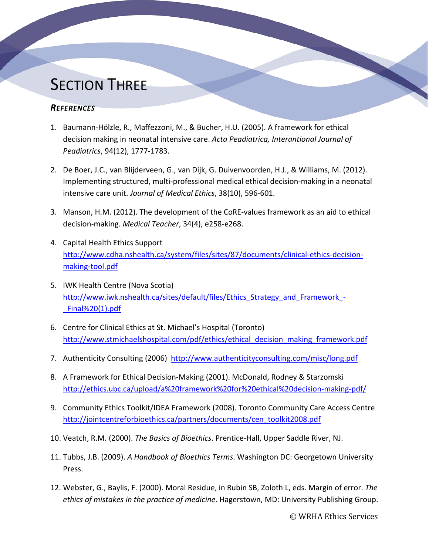# **SECTION THREE**

#### <span id="page-28-0"></span>*REFERENCES*

- 1. Baumann-Hölzle, R., Maffezzoni, M., & Bucher, H.U. (2005). A framework for ethical decision making in neonatal intensive care. *Acta Peadiatrica, Interantional Journal of Peadiatrics*, 94(12), 1777-1783.
- 2. De Boer, J.C., van Blijderveen, G., van Dijk, G. Duivenvoorden, H.J., & Williams, M. (2012). Implementing structured, multi-professional medical ethical decision-making in a neonatal intensive care unit. *Journal of Medical Ethics*, 38(10), 596-601.
- 3. Manson, H.M. (2012). The development of the CoRE-values framework as an aid to ethical decision-making. *Medical Teacher*, 34(4), e258-e268.
- 4. Capital Health Ethics Support [http://www.cdha.nshealth.ca/system/files/sites/87/documents/clinical-ethics-decision](http://www.cdha.nshealth.ca/system/files/sites/87/documents/clinical-ethics-decision-making-tool.pdf)[making-tool.pdf](http://www.cdha.nshealth.ca/system/files/sites/87/documents/clinical-ethics-decision-making-tool.pdf)
- 5. IWK Health Centre (Nova Scotia) http://www.iwk.nshealth.ca/sites/default/files/Ethics Strategy and Framework -[\\_Final%20\(1\).pdf](http://www.iwk.nshealth.ca/sites/default/files/Ethics_Strategy_and_Framework_-_Final%20(1).pdf)
- 6. Centre for Clinical Ethics at St. Michael's Hospital (Toronto) [http://www.stmichaelshospital.com/pdf/ethics/ethical\\_decision\\_making\\_framework.pdf](http://www.stmichaelshospital.com/pdf/ethics/ethical_decision_making_framework.pdf)
- 7. Authenticity Consulting (2006) <http://www.authenticityconsulting.com/misc/long.pdf>
- 8. A Framework for Ethical Decision-Making (2001). McDonald, Rodney & Starzomski <http://ethics.ubc.ca/upload/a%20framework%20for%20ethical%20decision-making-pdf/>
- 9. Community Ethics Toolkit/IDEA Framework (2008). Toronto Community Care Access Centre [http://jointcentreforbioethics.ca/partners/documents/cen\\_toolkit2008.pdf](http://jointcentreforbioethics.ca/partners/documents/cen_toolkit2008.pdf)
- 10. Veatch, R.M. (2000). *The Basics of Bioethics*. Prentice-Hall, Upper Saddle River, NJ.
- 11. Tubbs, J.B. (2009). *A Handbook of Bioethics Terms*. Washington DC: Georgetown University Press.
- 12. Webster, G., Baylis, F. (2000). Moral Residue, in Rubin SB, Zoloth L, eds. Margin of error. *The ethics of mistakes in the practice of medicine*. Hagerstown, MD: University Publishing Group.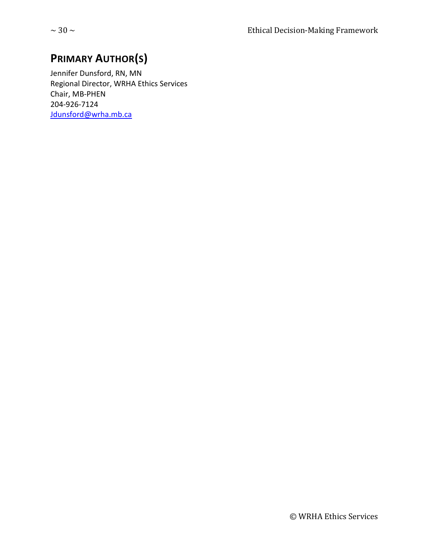### <span id="page-29-0"></span>**PRIMARY AUTHOR(S)**

Jennifer Dunsford, RN, MN Regional Director, WRHA Ethics Services Chair, MB-PHEN 204-926-7124 [Jdunsford@wrha.mb.ca](mailto:Jdunsford@wrha.mb.ca)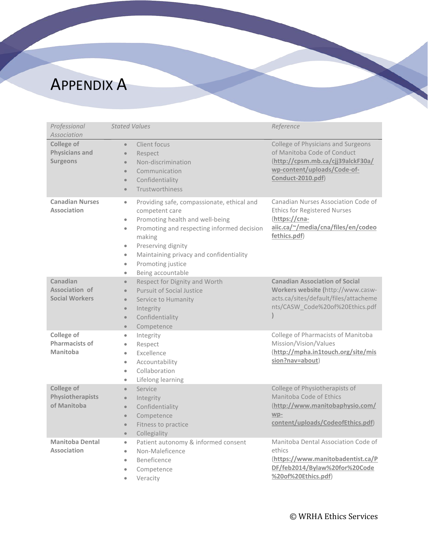# <span id="page-30-0"></span>APPENDIX A

| Professional<br>Association                            | <b>Stated Values</b>                                                                                                                                                                                                                                                                                                                                          | Reference                                                                                                                                                  |
|--------------------------------------------------------|---------------------------------------------------------------------------------------------------------------------------------------------------------------------------------------------------------------------------------------------------------------------------------------------------------------------------------------------------------------|------------------------------------------------------------------------------------------------------------------------------------------------------------|
| College of<br><b>Physicians and</b><br><b>Surgeons</b> | Client focus<br>$\bullet$<br>$\bullet$<br>Respect<br>Non-discrimination<br>$\bullet$<br>Communication<br>$\bullet$<br>Confidentiality<br>$\bullet$<br>Trustworthiness<br>$\bullet$                                                                                                                                                                            | College of Physicians and Surgeons<br>of Manitoba Code of Conduct<br>(http://cpsm.mb.ca/cjj39alckF30a/<br>wp-content/uploads/Code-of-<br>Conduct-2010.pdf) |
| <b>Canadian Nurses</b><br><b>Association</b>           | Providing safe, compassionate, ethical and<br>$\bullet$<br>competent care<br>Promoting health and well-being<br>$\bullet$<br>Promoting and respecting informed decision<br>$\bullet$<br>making<br>Preserving dignity<br>$\bullet$<br>Maintaining privacy and confidentiality<br>$\bullet$<br>Promoting justice<br>$\bullet$<br>Being accountable<br>$\bullet$ | Canadian Nurses Association Code of<br><b>Ethics for Registered Nurses</b><br>(https://cna-<br>aiic.ca/~/media/cna/files/en/codeo<br>fethics.pdf)          |
| Canadian<br>Association of<br><b>Social Workers</b>    | Respect for Dignity and Worth<br>$\bullet$<br><b>Pursuit of Social Justice</b><br>$\bullet$<br>Service to Humanity<br>$\bullet$<br>Integrity<br>$\bullet$<br>Confidentiality<br>$\bullet$<br>Competence<br>$\bullet$                                                                                                                                          | <b>Canadian Association of Social</b><br>Workers website (http://www.casw-<br>acts.ca/sites/default/files/attacheme<br>nts/CASW_Code%20of%20Ethics.pdf     |
| College of<br><b>Pharmacists of</b><br>Manitoba        | Integrity<br>$\bullet$<br>Respect<br>$\bullet$<br>Excellence<br>$\bullet$<br>Accountability<br>$\bullet$<br>Collaboration<br>$\bullet$<br>Lifelong learning<br>۰                                                                                                                                                                                              | College of Pharmacists of Manitoba<br>Mission/Vision/Values<br>(http://mpha.in1touch.org/site/mis<br>sion?nav=about)                                       |
| College of<br>Physiotherapists<br>of Manitoba          | Service<br>$\bullet$<br>Integrity<br>$\bullet$<br>Confidentiality<br>$\bullet$<br>Competence<br>$\bullet$<br>Fitness to practice<br>$\bullet$<br>Collegiality<br>$\bullet$                                                                                                                                                                                    | College of Physiotherapists of<br>Manitoba Code of Ethics<br>(http://www.manitobaphysio.com/<br>wp-<br>content/uploads/CodeofEthics.pdf)                   |
| <b>Manitoba Dental</b><br>Association                  | Patient autonomy & informed consent<br>$\bullet$<br>Non-Maleficence<br>$\bullet$<br>Beneficence<br>$\bullet$<br>Competence<br>$\bullet$<br>Veracity<br>$\bullet$                                                                                                                                                                                              | Manitoba Dental Association Code of<br>ethics<br>(https://www.manitobadentist.ca/P<br>DF/feb2014/Bylaw%20for%20Code<br>%20of%20Ethics.pdf)                 |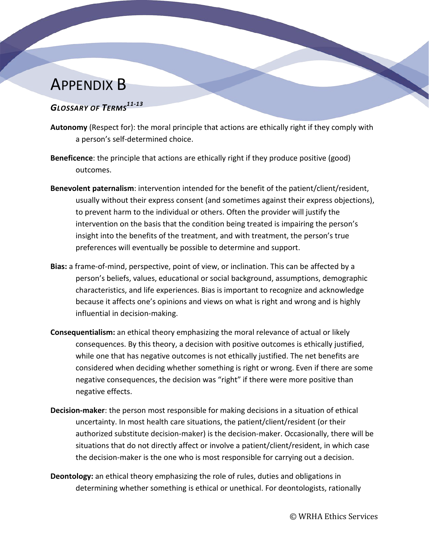## <span id="page-31-0"></span>APPENDIX B

#### <span id="page-31-1"></span>*GLOSSARY OF TERMS11-13*

- **Autonomy** (Respect for): the moral principle that actions are ethically right if they comply with a person's self-determined choice.
- **Beneficence**: the principle that actions are ethically right if they produce positive (good) outcomes.
- **Benevolent paternalism**: intervention intended for the benefit of the patient/client/resident, usually without their express consent (and sometimes against their express objections), to prevent harm to the individual or others. Often the provider will justify the intervention on the basis that the condition being treated is impairing the person's insight into the benefits of the treatment, and with treatment, the person's true preferences will eventually be possible to determine and support.
- **Bias:** a frame-of-mind, perspective, point of view, or inclination. This can be affected by a person's beliefs, values, educational or social background, assumptions, demographic characteristics, and life experiences. Bias is important to recognize and acknowledge because it affects one's opinions and views on what is right and wrong and is highly influential in decision-making.
- **Consequentialism:** an ethical theory emphasizing the moral relevance of actual or likely consequences. By this theory, a decision with positive outcomes is ethically justified, while one that has negative outcomes is not ethically justified. The net benefits are considered when deciding whether something is right or wrong. Even if there are some negative consequences, the decision was "right" if there were more positive than negative effects.
- **Decision-maker**: the person most responsible for making decisions in a situation of ethical uncertainty. In most health care situations, the patient/client/resident (or their authorized substitute decision-maker) is the decision-maker. Occasionally, there will be situations that do not directly affect or involve a patient/client/resident, in which case the decision-maker is the one who is most responsible for carrying out a decision.
- **Deontology:** an ethical theory emphasizing the role of rules, duties and obligations in determining whether something is ethical or unethical. For deontologists, rationally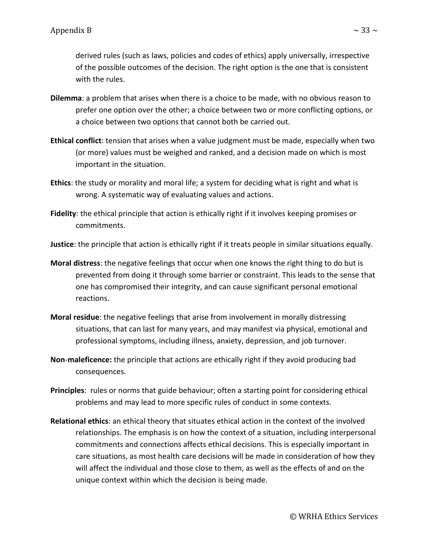derived rules (such as laws, policies and codes of ethics) apply universally, irrespective of the possible outcomes of the decision. The right option is the one that is consistent with the rules.

- **Dilemma**: a problem that arises when there is a choice to be made, with no obvious reason to prefer one option over the other; a choice between two or more conflicting options, or a choice between two options that cannot both be carried out.
- **Ethical conflict**: tension that arises when a value judgment must be made, especially when two (or more) values must be weighed and ranked, and a decision made on which is most important in the situation.
- **Ethics**: the study or morality and moral life; a system for deciding what is right and what is wrong. A systematic way of evaluating values and actions.
- **Fidelity**: the ethical principle that action is ethically right if it involves keeping promises or commitments.
- **Justice**: the principle that action is ethically right if it treats people in similar situations equally.
- **Moral distress**: the negative feelings that occur when one knows the right thing to do but is prevented from doing it through some barrier or constraint. This leads to the sense that one has compromised their integrity, and can cause significant personal emotional reactions.
- **Moral residue**: the negative feelings that arise from involvement in morally distressing situations, that can last for many years, and may manifest via physical, emotional and professional symptoms, including illness, anxiety, depression, and job turnover.
- **Non**-**maleficence:** the principle that actions are ethically right if they avoid producing bad consequences.
- **Principles**: rules or norms that guide behaviour; often a starting point for considering ethical problems and may lead to more specific rules of conduct in some contexts.
- **Relational ethics**: an ethical theory that situates ethical action in the context of the involved relationships. The emphasis is on how the context of a situation, including interpersonal commitments and connections affects ethical decisions. This is especially important in care situations, as most health care decisions will be made in consideration of how they will affect the individual and those close to them, as well as the effects of and on the unique context within which the decision is being made.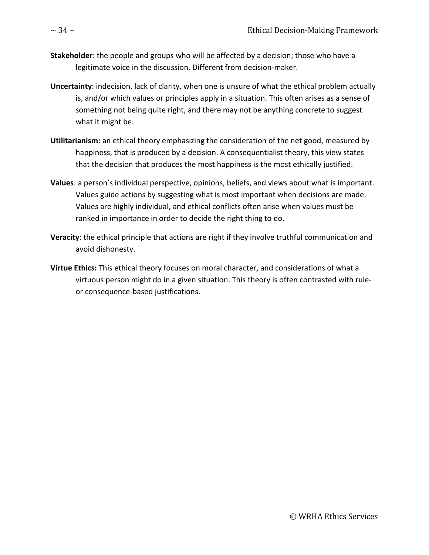- **Stakeholder**: the people and groups who will be affected by a decision; those who have a legitimate voice in the discussion. Different from decision-maker.
- **Uncertainty**: indecision, lack of clarity, when one is unsure of what the ethical problem actually is, and/or which values or principles apply in a situation. This often arises as a sense of something not being quite right, and there may not be anything concrete to suggest what it might be.
- **Utilitarianism:** an ethical theory emphasizing the consideration of the net good, measured by happiness, that is produced by a decision. A consequentialist theory, this view states that the decision that produces the most happiness is the most ethically justified.
- **Values**: a person's individual perspective, opinions, beliefs, and views about what is important. Values guide actions by suggesting what is most important when decisions are made. Values are highly individual, and ethical conflicts often arise when values must be ranked in importance in order to decide the right thing to do.
- **Veracity**: the ethical principle that actions are right if they involve truthful communication and avoid dishonesty.
- **Virtue Ethics:** This ethical theory focuses on moral character, and considerations of what a virtuous person might do in a given situation. This theory is often contrasted with ruleor consequence-based justifications.